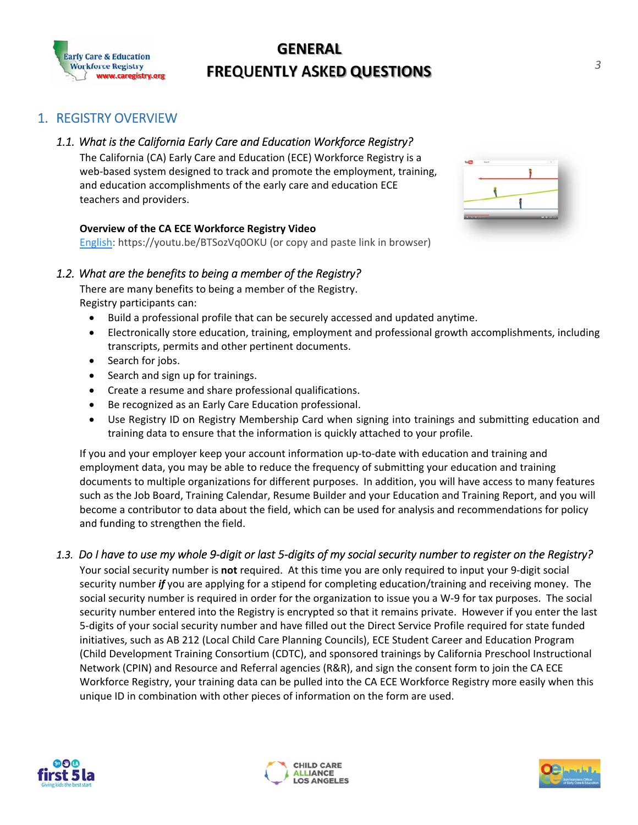

# 1. DESCRIPCIÓN GENERAL DEL REGISTRO





- 
- 
- 
- 
- 
- 
- $\bullet$
- $\bullet$



正距距距距距距距距距距距

1.3.  $\blacksquare$ 





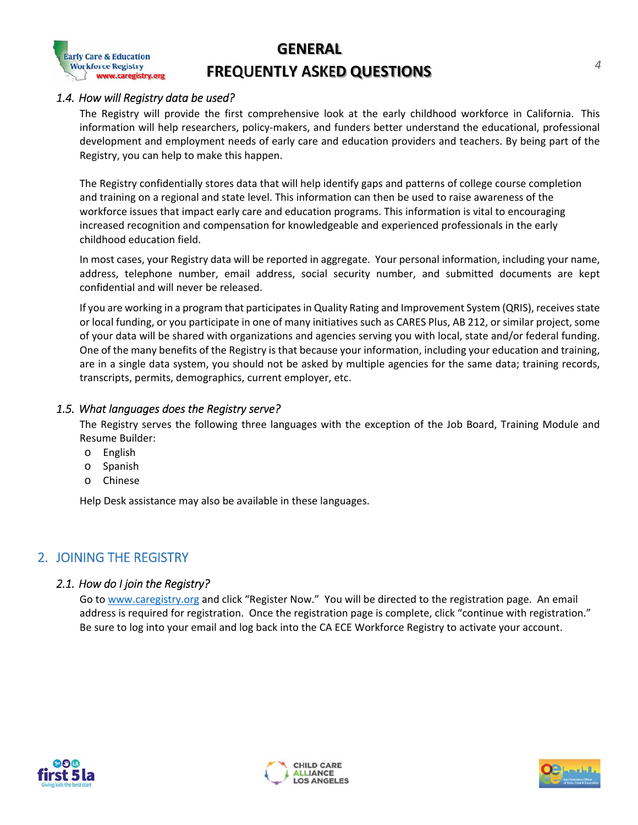

## **PREGUNTAS GENERALES FRECUENTES**

#### *1.4. ¿Cómo se utilizarán los datos del registro?*

El registro proporcionará las primeras perspectivas integrales sobre la fuerza laboral de la primera infancia en California. Esta información ayudará a los investigadores, a los encargados de formular políticas y a los financiadores a comprender mejor las necesidades educativas, de desarrollo profesional y de empleo de los proveedores de educación temprana y los maestros. Al ser parte del registro, puede ayudar a que esto suceda.

El registro almacena de manera confidencial datos que ayudarán a identificar brechas y patrones de finalización y capacitación de cursos universitarios a nivel regional y estatal. Esta información se puede utilizar para crear conciencia sobre los problemas de la fuerza laboral que afectan los programas de atención y educación temprana. Esta información es vital para alentar un mayor reconocimiento y compensación para los profesionales con conocimientos y experiencia en el campo de la educación de la primera infancia.

En la mayoría de los casos, sus datos de registro serán reportados en conjunto. Su información personal, incluido su nombre, dirección, número de teléfono, dirección de correo electrónico, número de seguro social y los documentos enviados, se mantienen confidenciales y nunca serán divulgados

Si está trabajando en un programa que participa en el Sistema de Calificación y Mejora de la Calidad (QRIS), recibe fondos estatales o locales, o participa en una de muchas iniciativas como CARES Plus, AB 212 o un proyecto similar, algunos de sus datos podrán ser compartidos con organizaciones y agencias que le ayuden con fondos locales, estatales o federales. Uno de los muchos beneficios del registro es que debido a que su información, incluida su educación y capacitación, se encuentra en un solo sistema de datos, varias agencias no deben solicitarle los mismos datos; registros de capacitación, transcripciones, permisos, demografía, empleador actual, etc.

#### *1.5. ¿A qué idiomas sirve el registro?*

El Registro sirve los siguientes tres idiomas con la excepción del foro de Trabajo, el Módulo de Capacitación y el Generador de Curriculum:

- o Inglés
- o español
- o Chino

Ayuda también podría estar disponible en estos idiomas.

#### 2. UNIRSE AL REGISTRO

#### *2.1. ¿Cómo me uno al registro?*

Vaya a www.caregistry.org y haga clic en "Registrarse ahora" ("Register Now"). Será dirigido a la página de registración. Se requiere una dirección de correo electrónico para poder registrarse. Una vez que haya llenado la página, haga clic en "continuar con la registración" ("Continue with registration"). Asegúrese de iniciar sesión en su correo electrónico y volver a iniciar sesión en el Registro de la Fuerza Laboral ECE de CA para activar su cuenta.





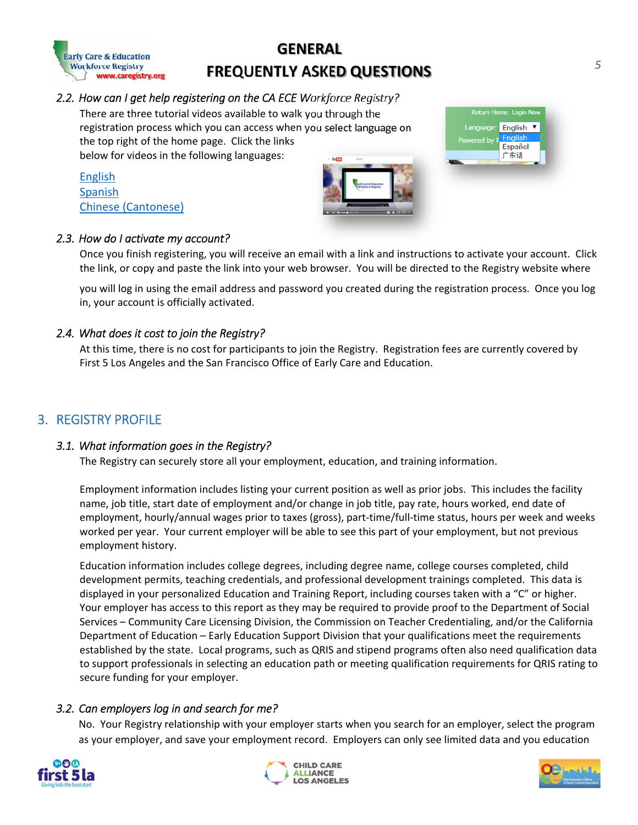

## **PREGUNTAS GENERALES FRECUENTES**

#### *2.2. ¿Cómo puedo obtener ayuda para inscribirme en el Registro de la Fuerza Laboral ECE de CA?*

Hay tres videos tutoriales disponibles para guiarlo a través del proceso /orkforce Registry? de registro al que puede acceder cuando seleccione el idioma en la esquina superior derecha de la página de inicio. Haga clic en los enlaces a continuación para ver videos en los siguientes idiomas:

you through the you select language on

Inglés Español Chino (cantonés)





#### *2.3. ¿Cómo activo mi cuenta?*

Una vez que termine de registrarse, recibirá un correo electrónico con un enlace e instrucciones para activar su cuenta. Haga clic en el enlace, o copie y pegue el enlace en su navegador. Será dirigido al sitio web del Registro donde iniciará sesión con la dirección de correo electrónico y la contraseña que creó durante el proceso de registro. Una vez que inicie la sesión, su cuenta se activará oficialmente.

#### *2.4. ¿Cuánto cuesta unirse al registro?*

En este momento, no hay ningún costo para que los participantes se unan al registro. Las tarifas de inscripción están cubiertas actualmente por First 5 Los Angeles y la Oficina de Atención y Educación Temprana de San Francisco.

### 3. PERFIL DEL REGISTRO

#### *3.1. ¿Qué información contiene el registro?*

El registro puede almacenar de forma segura toda su información de empleo, educación y capacitación.

La información de empleo incluye una lista de su puesto actual, así como trabajos anteriores. Esto incluye el nombre de la instalación, el título del trabajo, la fecha de inicio del empleo o el cambio en el puesto, la tasa de pago, las horas trabajadas, la fecha de finalización del empleo, los salarios por hora o anuales antes de los impuestos (brutos), estado de tiempo parcial o tiempo completo, horas por semana y semanas trabajadas por año. Su empleador actual podrá ver esta parte de su empleo, pero no el historial de empleo anterior.

La información educativa incluye títulos universitarios, incluido el nombre del título, los cursos universitarios completados, los permisos de desarrollo infantil, las credenciales de enseñanza y las capacitaciones de desarrollo profesional completadas. Estos datos se muestran en su Informe personalizado de educación y capacitación, incluidos los cursos tomados con una "C" o superior. Su empleador tiene acceso a este informe, ya que es posible que se le solicite que presente pruebas al Departamento de Servicios Sociales - División de Licencias de Atención Comunitaria, a la Comisión de Acreditación de Maestros o al Departamento de Educación de California - División de Apoyo a la Educación Temprana de que sus calificaciones cumplen los requisitos establecidos por el estado. Los programas locales, como QRIS y los programas de estipendios, a menudo también necesitan datos de calificación para ayudar a los profesionales a seleccionar una ruta educativa o cumplir con los requisitos de calificación para la calificación de QRIS para asegurar la financiación de su empleador.

#### *3.2. ¿Pueden los empleadores iniciar una sesión y buscarme?*

No. Su relación de registro con su empleador comienza cuando usted busca a un empleador, selecciona el programa como su empleador y guarda su registro de empleo. Los empleadores solo pueden ver datos limitados y de su educación





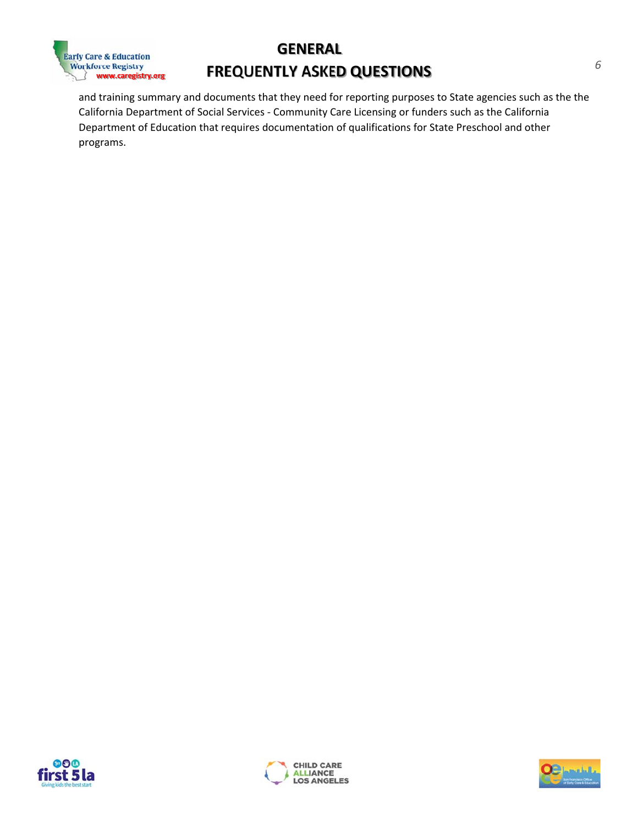

## **PREGUNTAS GENERALES FRECUENTES**

y el resumen de capacitación y los documentos que necesitan para informar a agencias estatales como el Departamento de Servicios Sociales de California - Licencias de Atención Comunitaria o financiadores como el Departamento de Educación de California que requiere documentación de calificaciones para el preescolar estatal y otros programas.





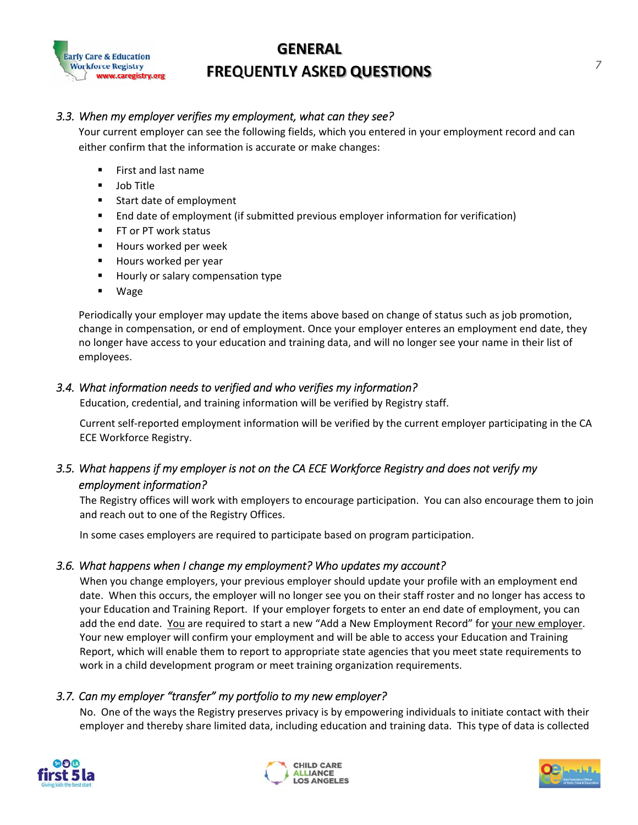

#### *3.3. When my employer verifies my employment, what can they see?*

Your current employer can see the following fields, which you entered in your employment record and can either confirm that the information is accurate or make changes:

- First and last name
- **Job Title**
- **Start date of employment**
- End date of employment (if submitted previous employer information for verification)
- FT or PT work status
- Hours worked per week
- Hours worked per year
- **Hourly or salary compensation type**
- Wage

Periodically your employer may update the items above based on change of status such as job promotion, change in compensation, or end of employment. Once your employer enteres an employment end date, they no longer have access to your education and training data, and will no longer see your name in their list of employees.

#### *3.4. What information needs to verified and who verifies my information?*

Education, credential, and training information will be verified by Registry staff.

Current self‐reported employment information will be verified by the current employer participating in the CA ECE Workforce Registry.

### *3.5. What happens if my employer is not on the CA ECE Workforce Registry and does not verify my employment information?*

The Registry offices will work with employers to encourage participation. You can also encourage them to join and reach out to one of the Registry Offices.

In some cases employers are required to participate based on program participation.

#### *3.6. What happens when I change my employment? Who updates my account?*

When you change employers, your previous employer should update your profile with an employment end date. When this occurs, the employer will no longer see you on their staff roster and no longer has access to your Education and Training Report. If your employer forgets to enter an end date of employment, you can add the end date. You are required to start a new "Add a New Employment Record" for your new employer. Your new employer will confirm your employment and will be able to access your Education and Training Report, which will enable them to report to appropriate state agencies that you meet state requirements to work in a child development program or meet training organization requirements.

#### *3.7. Can my employer "transfer" my portfolio to my new employer?*

No. One of the ways the Registry preserves privacy is by empowering individuals to initiate contact with their employer and thereby share limited data, including education and training data. This type of data is collected





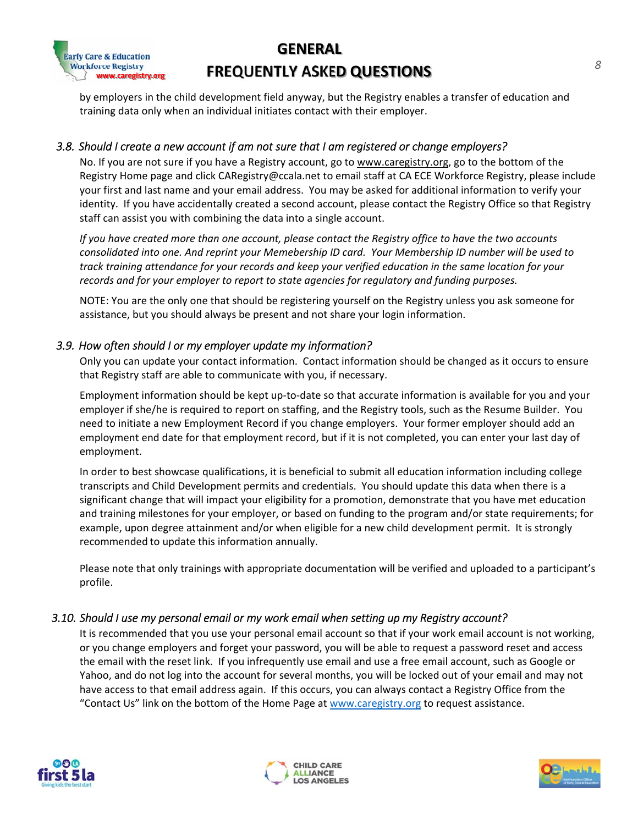

by employers in the child development field anyway, but the Registry enables a transfer of education and training data only when an individual initiates contact with their employer.

#### *3.8. Should I create a new account if am not sure that I am registered or change employers?*

No. If you are not sure if you have a Registry account, go to www.caregistry.org, go to the bottom of the Registry Home page and click CARegistry@ccala.net to email staff at CA ECE Workforce Registry, please include your first and last name and your email address. You may be asked for additional information to verify your identity. If you have accidentally created a second account, please contact the Registry Office so that Registry staff can assist you with combining the data into a single account.

If you have created more than one account, please contact the Registry office to have the two accounts consolidated into one. And reprint your Memebership ID card. Your Membership ID number will be used to *track training attendance for your records and keep your verified education in the same location for your records and for your employer to report to state agencies for regulatory and funding purposes.*

NOTE: You are the only one that should be registering yourself on the Registry unless you ask someone for assistance, but you should always be present and not share your login information.

#### *3.9. How often should I or my employer update my information?*

Only you can update your contact information. Contact information should be changed as it occurs to ensure that Registry staff are able to communicate with you, if necessary.

Employment information should be kept up‐to‐date so that accurate information is available for you and your employer if she/he is required to report on staffing, and the Registry tools, such as the Resume Builder. You need to initiate a new Employment Record if you change employers. Your former employer should add an employment end date for that employment record, but if it is not completed, you can enter your last day of employment.

In order to best showcase qualifications, it is beneficial to submit all education information including college transcripts and Child Development permits and credentials. You should update this data when there is a significant change that will impact your eligibility for a promotion, demonstrate that you have met education and training milestones for your employer, or based on funding to the program and/or state requirements; for example, upon degree attainment and/or when eligible for a new child development permit. It is strongly recommended to update this information annually.

Please note that only trainings with appropriate documentation will be verified and uploaded to a participant's profile.

#### *3.10. Should I use my personal email or my work email when setting up my Registry account?*

It is recommended that you use your personal email account so that if your work email account is not working, or you change employers and forget your password, you will be able to request a password reset and access the email with the reset link. If you infrequently use email and use a free email account, such as Google or Yahoo, and do not log into the account for several months, you will be locked out of your email and may not have access to that email address again. If this occurs, you can always contact a Registry Office from the "Contact Us" link on the bottom of the Home Page at www.caregistry.org to request assistance.





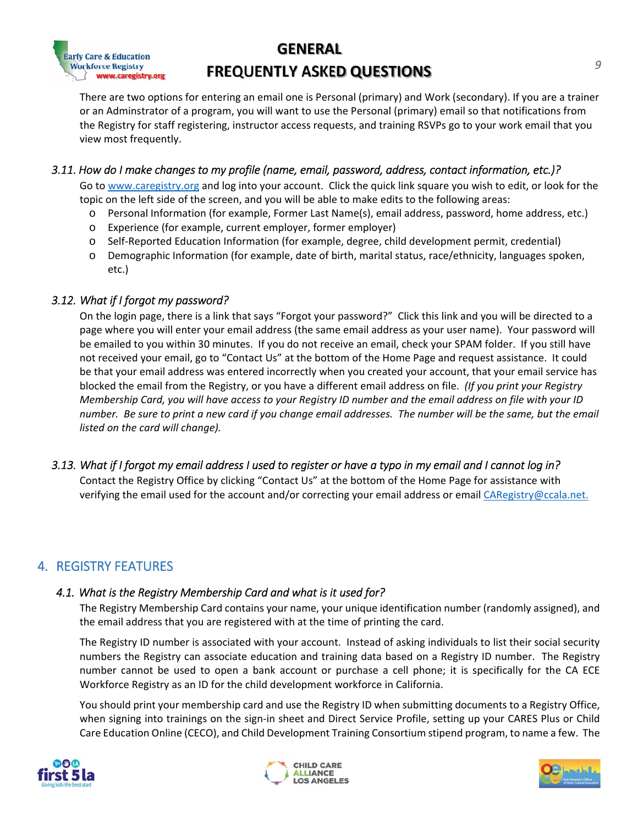

There are two options for entering an email one is Personal (primary) and Work (secondary). If you are a trainer or an Adminstrator of a program, you will want to use the Personal (primary) email so that notifications from the Registry for staff registering, instructor access requests, and training RSVPs go to your work email that you view most frequently.

#### *3.11. How do I make changes to my profile (name, email, password, address, contact information, etc.)?*

Go to www.caregistry.org and log into your account. Click the quick link square you wish to edit, or look for the topic on the left side of the screen, and you will be able to make edits to the following areas:

- o Personal Information (for example, Former Last Name(s), email address, password, home address, etc.)
- o Experience (for example, current employer, former employer)
- o Self‐Reported Education Information (for example, degree, child development permit, credential)
- o Demographic Information (for example, date of birth, marital status, race/ethnicity, languages spoken, etc.)

#### *3.12. What if I forgot my password?*

On the login page, there is a link that says "Forgot your password?" Click this link and you will be directed to a page where you will enter your email address (the same email address as your user name). Your password will be emailed to you within 30 minutes. If you do not receive an email, check your SPAM folder. If you still have not received your email, go to "Contact Us" at the bottom of the Home Page and request assistance. It could be that your email address was entered incorrectly when you created your account, that your email service has blocked the email from the Registry, or you have a different email address on file. *(If you print your Registry* Membership Card, you will have access to your Registry ID number and the email address on file with your ID number. Be sure to print a new card if you change email addresses. The number will be the same, but the email *listed on the card will change).*

#### *3.13. What if I forgot my email address I used to register or have a typo in my email and I cannot log in?*

Contact the Registry Office by clicking "Contact Us" at the bottom of the Home Page for assistance with verifying the email used for the account and/or correcting your email address or email CARegistry@ccala.net.

### 4. REGISTRY FEATURES

#### *4.1. What is the Registry Membership Card and what is it used for?*

The Registry Membership Card contains your name, your unique identification number (randomly assigned), and the email address that you are registered with at the time of printing the card.

The Registry ID number is associated with your account. Instead of asking individuals to list their social security numbers the Registry can associate education and training data based on a Registry ID number. The Registry number cannot be used to open a bank account or purchase a cell phone; it is specifically for the CA ECE Workforce Registry as an ID for the child development workforce in California.

You should print your membership card and use the Registry ID when submitting documents to a Registry Office, when signing into trainings on the sign-in sheet and Direct Service Profile, setting up your CARES Plus or Child Care Education Online (CECO), and Child Development Training Consortium stipend program, to name a few. The





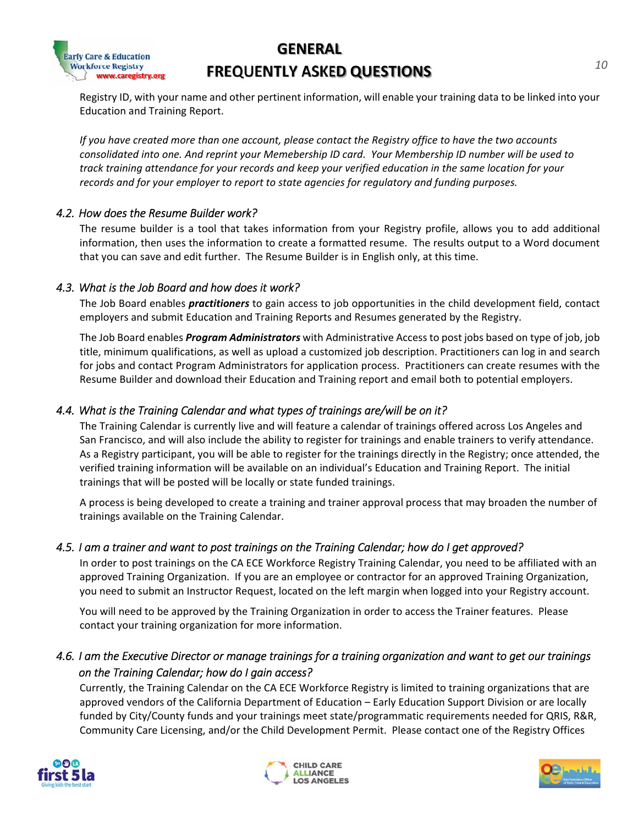# **GENERAL**



# **FREQUENTLY ASKED QUESTIONS**

Registry ID, with your name and other pertinent information, will enable your training data to be linked into your Education and Training Report.

If you have created more than one account, please contact the Registry office to have the two accounts consolidated into one. And reprint your Memebership ID card. Your Membership ID number will be used to *track training attendance for your records and keep your verified education in the same location for your records and for your employer to report to state agencies for regulatory and funding purposes.*

#### *4.2. How does the Resume Builder work?*

The resume builder is a tool that takes information from your Registry profile, allows you to add additional information, then uses the information to create a formatted resume. The results output to a Word document that you can save and edit further. The Resume Builder is in English only, at this time.

#### *4.3. What is the Job Board and how does it work?*

The Job Board enables *practitioners* to gain access to job opportunities in the child development field, contact employers and submit Education and Training Reports and Resumes generated by the Registry.

The Job Board enables *Program Administrators* with Administrative Access to post jobs based on type of job, job title, minimum qualifications, as well as upload a customized job description. Practitioners can log in and search for jobs and contact Program Administrators for application process. Practitioners can create resumes with the Resume Builder and download their Education and Training report and email both to potential employers.

#### *4.4. What is the Training Calendar and what types of trainings are/will be on it?*

The Training Calendar is currently live and will feature a calendar of trainings offered across Los Angeles and San Francisco, and will also include the ability to register for trainings and enable trainers to verify attendance. As a Registry participant, you will be able to register for the trainings directly in the Registry; once attended, the verified training information will be available on an individual's Education and Training Report. The initial trainings that will be posted will be locally or state funded trainings.

A process is being developed to create a training and trainer approval process that may broaden the number of trainings available on the Training Calendar.

#### *4.5. I am a trainer and want to post trainings on the Training Calendar; how do I get approved?*

In order to post trainings on the CA ECE Workforce Registry Training Calendar, you need to be affiliated with an approved Training Organization. If you are an employee or contractor for an approved Training Organization, you need to submit an Instructor Request, located on the left margin when logged into your Registry account.

You will need to be approved by the Training Organization in order to access the Trainer features. Please contact your training organization for more information.

### *4.6. I am the Executive Director or manage trainings for a training organization and want to get our trainings on the Training Calendar; how do I gain access?*

Currently, the Training Calendar on the CA ECE Workforce Registry is limited to training organizations that are approved vendors of the California Department of Education – Early Education Support Division or are locally funded by City/County funds and your trainings meet state/programmatic requirements needed for QRIS, R&R, Community Care Licensing, and/or the Child Development Permit. Please contact one of the Registry Offices